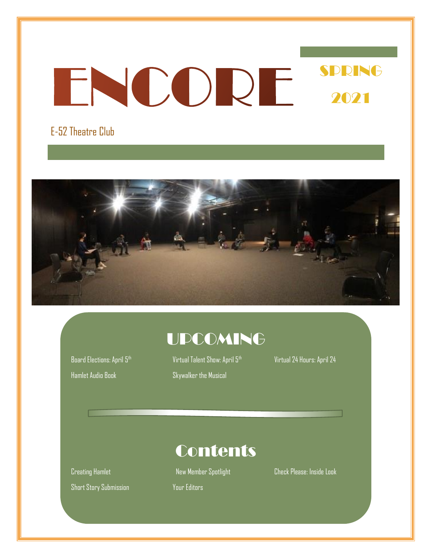### SPRING ENCORE 2021

### E-52 Theatre Club



### UPCOMING

Hamlet Audio Book Skywalker the Musical

Board Elections: April 5<sup>th</sup> Virtual Talent Show: April 5<sup>th</sup> Virtual 24 Hours: April 24

Short Story Submission Your Editors

**Contents** 

Creating Hamlet New Member Spotlight Check Please: Inside Look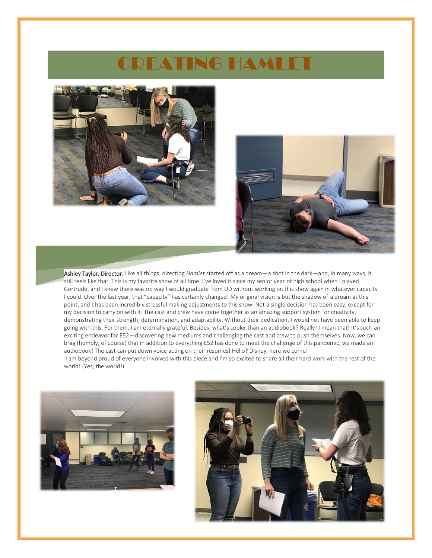### CREATING HAMLET





Ashley Taylor, Director: Like all things, directing *Hamlet* started off as a dream—a shot in the dark—and, in many ways, it still feels like that. This is my favorite show of all time. I've loved it since my senior year of high school when I played Gertrude, and I knew there was no way I would graduate from UD without working on this show again in whatever capacity I could. Over the last year, that "capacity" has certainly changed! My original vision is but the shadow of a dream at this point, and t has been incredibly stressful making adjustments to this show. Not a single decision has been easy, except for my decision to carry on with it. The cast and crew have come together as an amazing support system for creativity, demonstrating their strength, determination, and adaptability. Without their dedication, I would not have been able to keep going with this. For them, I am eternally grateful. Besides, what's cooler than an audiobook? Really! I mean that! It's such an exciting endeavor for E52—discovering new mediums and challenging the cast and crew to push themselves. Now, we can brag (humbly, of course) that in addition to everything E52 has done to meet the challenge of this pandemic, we made an audiobook! The cast can put down voice acting on their resumes! Hello? Disney, here we come! I am beyond proud of everyone involved with this piece and I'm so excited to share all their hard work with the rest of the world! (Yes, the world!)



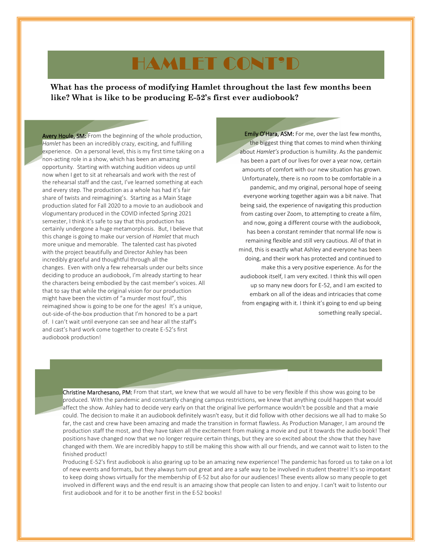### HAMLET CONT'D

**What has the process of modifying Hamlet throughout the last few months been like? What is like to be producing E-52's first ever audiobook?**

Avery Houle, SM: From the beginning of the whole production, *Hamlet* has been an incredibly crazy, exciting, and fulfilling experience. On a personal level, this is my first time taking on a non-acting role in a show, which has been an amazing opportunity. Starting with watching audition videos up until now when I get to sit at rehearsals and work with the rest of the rehearsal staff and the cast, I've learned something at each and every step. The production as a whole has had it's fair share of twists and reimagining's. Starting as a Main Stage production slated for Fall 2020 to a movie to an audiobook and vlogumentary produced in the COVID infected Spring 2021 semester, I think it's safe to say that this production has certainly undergone a huge metamorphosis. But, I believe that this change is going to make our version of *Hamlet* that much more unique and memorable. The talented cast has pivoted with the project beautifully and Director Ashley has been incredibly graceful and thoughtful through all the changes. Even with only a few rehearsals under our belts since deciding to produce an audiobook, I'm already starting to hear the characters being embodied by the cast member's voices. All that to say that while the original vision for our production might have been the victim of "a murder most foul", this reimagined show is going to be one for the ages! It's a unique, out-side-of-the-box production that I'm honored to be a part of. I can't wait until everyone can see and hear all the staff's and cast's hard work come together to create E-52's first audiobook production!

Emily O'Hara, ASM: For me, over the last few months, the biggest thing that comes to mind when thinking about *Hamlet's* production is humility. As the pandemic has been a part of our lives for over a year now, certain amounts of comfort with our new situation has grown. Unfortunately, there is no room to be comfortable in a pandemic, and my original, personal hope of seeing everyone working together again was a bit naive. That being said, the experience of navigating this production from casting over Zoom, to attempting to create a film, and now, going a different course with the audiobook, has been a constant reminder that normal life now is remaining flexible and still very cautious. All of that in mind, this is exactly what Ashley and everyone has been doing, and their work has protected and continued to make this a very positive experience. As for the audiobook itself, I am very excited. I think this will open up so many new doors for E-52, and I am excited to embark on all of the ideas and intricacies that come from engaging with it. I think it's going to end up being something really special.

Christine Marchesano, PM: From that start, we knew that we would all have to be very flexible if this show was going to be produced. With the pandemic and constantly changing campus restrictions, we knew that anything could happen that would affect the show. Ashley had to decide very early on that the original live performance wouldn't be possible and that a movie could. The decision to make it an audiobook definitely wasn't easy, but it did follow with other decisions we all had to make. So far, the cast and crew have been amazing and made the transition in format flawless. As Production Manager, I am around the production staff the most, and they have taken all the excitement from making a movie and put it towards the audio book! Their positions have changed now that we no longer require certain things, but they are so excited about the show that they have changed with them. We are incredibly happy to still be making this show with all our friends, and we cannot wait to listen to the finished product!

Producing E-52's first audiobook is also gearing up to be an amazing new experience! The pandemic has forced us to take on a lot of new events and formats, but they always turn out great and are a safe way to be involved in student theatre! It's so important to keep doing shows virtually for the membership of E-52 but also for our audiences! These events allow so many people to get involved in different ways and the end result is an amazing show that people can listen to and enjoy. I can't wait to listento our first audiobook and for it to be another first in the E-52 books!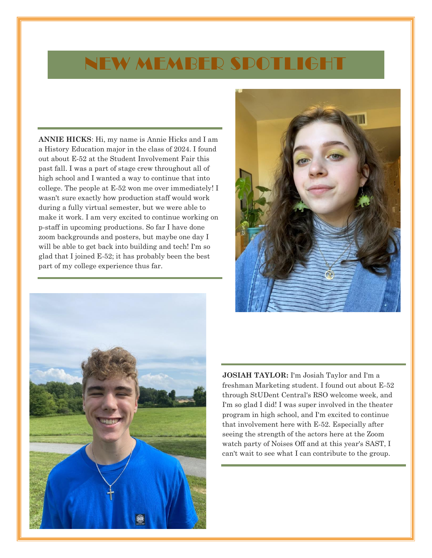### NEW MEMBER SPOTLIGHT

**ANNIE HICKS**: Hi, my name is Annie Hicks and I am a History Education major in the class of 2024. I found out about E-52 at the Student Involvement Fair this past fall. I was a part of stage crew throughout all of high school and I wanted a way to continue that into college. The people at E-52 won me over immediately! I wasn't sure exactly how production staff would work during a fully virtual semester, but we were able to make it work. I am very excited to continue working on p-staff in upcoming productions. So far I have done zoom backgrounds and posters, but maybe one day I will be able to get back into building and tech! I'm so glad that I joined E-52; it has probably been the best part of my college experience thus far.





**JOSIAH TAYLOR:** I'm Josiah Taylor and I'm a freshman Marketing student. I found out about E-52 through StUDent Central's RSO welcome week, and I'm so glad I did! I was super involved in the theater program in high school, and I'm excited to continue that involvement here with E-52. Especially after seeing the strength of the actors here at the Zoom watch party of Noises Off and at this year's SAST, I can't wait to see what I can contribute to the group.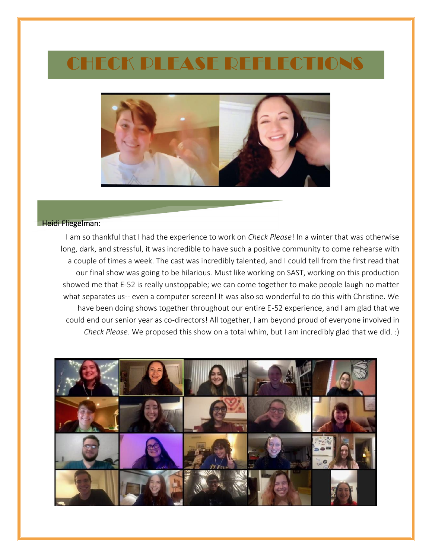### CHECK PLEASE REFLECTIONS



#### Heidi Fliegelman:

I am so thankful that I had the experience to work on *Check Please*! In a winter that was otherwise long, dark, and stressful, it was incredible to have such a positive community to come rehearse with a couple of times a week. The cast was incredibly talented, and I could tell from the first read that our final show was going to be hilarious. Must like working on SAST, working on this production showed me that E-52 is really unstoppable; we can come together to make people laugh no matter what separates us-- even a computer screen! It was also so wonderful to do this with Christine. We have been doing shows together throughout our entire E-52 experience, and I am glad that we could end our senior year as co-directors! All together, I am beyond proud of everyone involved in *Check Please*. We proposed this show on a total whim, but I am incredibly glad that we did. :)

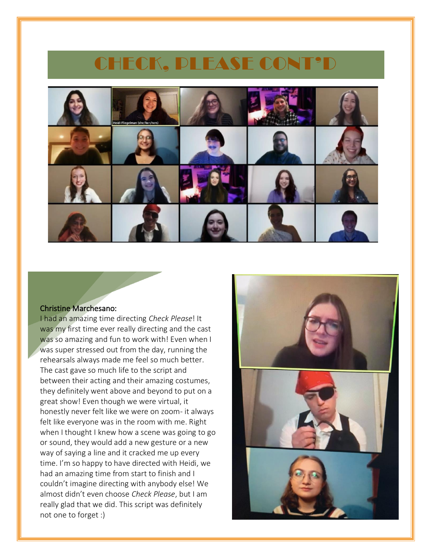### CHECK, PLEASE CONT'D



#### Christine Marchesano:

I had an amazing time directing *Check Please*! It was my first time ever really directing and the cast was so amazing and fun to work with! Even when I was super stressed out from the day, running the rehearsals always made me feel so much better. The cast gave so much life to the script and between their acting and their amazing costumes, they definitely went above and beyond to put on a great show! Even though we were virtual, it honestly never felt like we were on zoom- it always felt like everyone was in the room with me. Right when I thought I knew how a scene was going to go or sound, they would add a new gesture or a new way of saying a line and it cracked me up every time. I'm so happy to have directed with Heidi, we had an amazing time from start to finish and I couldn't imagine directing with anybody else! We almost didn't even choose *Check Please*, but I am really glad that we did. This script was definitely not one to forget :)

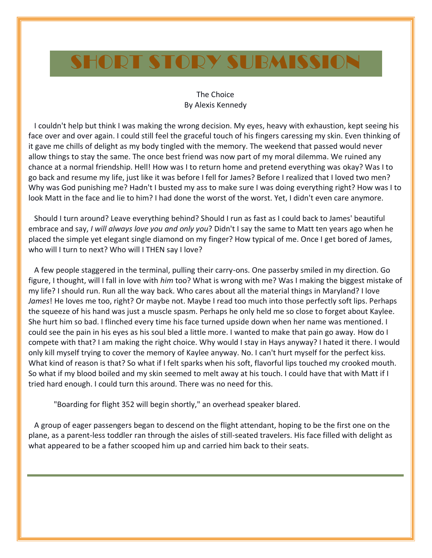## SHORT STORY SUBMISSION

### The Choice By Alexis Kennedy

 I couldn't help but think I was making the wrong decision. My eyes, heavy with exhaustion, kept seeing his face over and over again. I could still feel the graceful touch of his fingers caressing my skin. Even thinking of it gave me chills of delight as my body tingled with the memory. The weekend that passed would never allow things to stay the same. The once best friend was now part of my moral dilemma. We ruined any chance at a normal friendship. Hell! How was I to return home and pretend everything was okay? Was I to go back and resume my life, just like it was before I fell for James? Before I realized that I loved two men? Why was God punishing me? Hadn't I busted my ass to make sure I was doing everything right? How was I to look Matt in the face and lie to him? I had done the worst of the worst. Yet, I didn't even care anymore.

 Should I turn around? Leave everything behind? Should I run as fast as I could back to James' beautiful embrace and say, *I will always love you and only you*? Didn't I say the same to Matt ten years ago when he placed the simple yet elegant single diamond on my finger? How typical of me. Once I get bored of James, who will I turn to next? Who will I THEN say I love?

 A few people staggered in the terminal, pulling their carry-ons. One passerby smiled in my direction. Go figure, I thought, will I fall in love with *him* too? What is wrong with me? Was I making the biggest mistake of my life? I should run. Run all the way back. Who cares about all the material things in Maryland? I love *James*! He loves me too, right? Or maybe not. Maybe I read too much into those perfectly soft lips. Perhaps the squeeze of his hand was just a muscle spasm. Perhaps he only held me so close to forget about Kaylee. She hurt him so bad. I flinched every time his face turned upside down when her name was mentioned. I could see the pain in his eyes as his soul bled a little more. I wanted to make that pain go away. How do I compete with that? I am making the right choice. Why would I stay in Hays anyway? I hated it there. I would only kill myself trying to cover the memory of Kaylee anyway. No. I can't hurt myself for the perfect kiss. What kind of reason is that? So what if I felt sparks when his soft, flavorful lips touched my crooked mouth. So what if my blood boiled and my skin seemed to melt away at his touch. I could have that with Matt if I tried hard enough. I could turn this around. There was no need for this.

"Boarding for flight 352 will begin shortly," an overhead speaker blared.

 A group of eager passengers began to descend on the flight attendant, hoping to be the first one on the plane, as a parent-less toddler ran through the aisles of still-seated travelers. His face filled with delight as what appeared to be a father scooped him up and carried him back to their seats.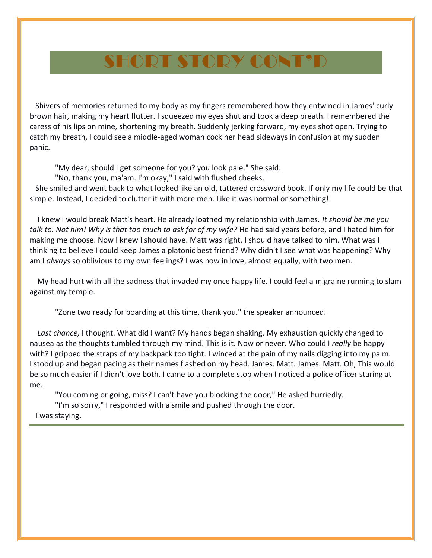### SHORT STORY CONT'D

 Shivers of memories returned to my body as my fingers remembered how they entwined in James' curly brown hair, making my heart flutter. I squeezed my eyes shut and took a deep breath. I remembered the caress of his lips on mine, shortening my breath. Suddenly jerking forward, my eyes shot open. Trying to catch my breath, I could see a middle-aged woman cock her head sideways in confusion at my sudden panic.

"My dear, should I get someone for you? you look pale." She said.

"No, thank you, ma'am. I'm okay," I said with flushed cheeks.

 She smiled and went back to what looked like an old, tattered crossword book. If only my life could be that simple. Instead, I decided to clutter it with more men. Like it was normal or something!

 I knew I would break Matt's heart. He already loathed my relationship with James. *It should be me you talk to. Not him! Why is that too much to ask for of my wife?* He had said years before, and I hated him for making me choose. Now I knew I should have. Matt was right. I should have talked to him. What was I thinking to believe I could keep James a platonic best friend? Why didn't I see what was happening? Why am I *always* so oblivious to my own feelings? I was now in love, almost equally, with two men.

 My head hurt with all the sadness that invaded my once happy life. I could feel a migraine running to slam against my temple.

"Zone two ready for boarding at this time, thank you." the speaker announced.

 *Last chance,* I thought. What did I want? My hands began shaking. My exhaustion quickly changed to nausea as the thoughts tumbled through my mind. This is it. Now or never. Who could I *really* be happy with? I gripped the straps of my backpack too tight. I winced at the pain of my nails digging into my palm. I stood up and began pacing as their names flashed on my head. James. Matt. James. Matt. Oh, This would be so much easier if I didn't love both. I came to a complete stop when I noticed a police officer staring at me.

"You coming or going, miss? I can't have you blocking the door," He asked hurriedly.

"I'm so sorry," I responded with a smile and pushed through the door. I was staying.